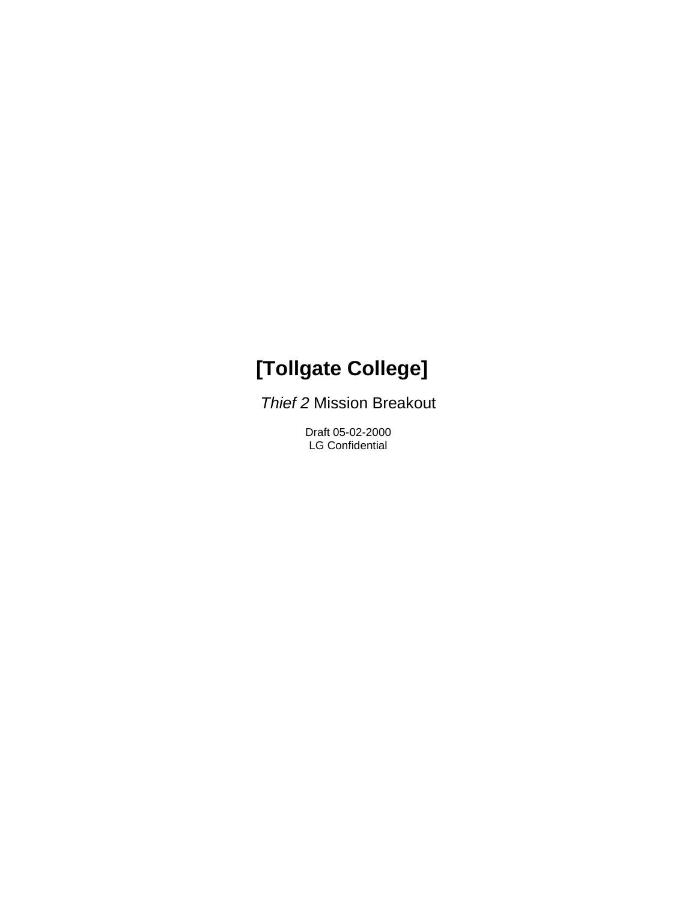# **[Tollgate College]**

*Thief 2* Mission Breakout

Draft 05-02-2000 LG Confidential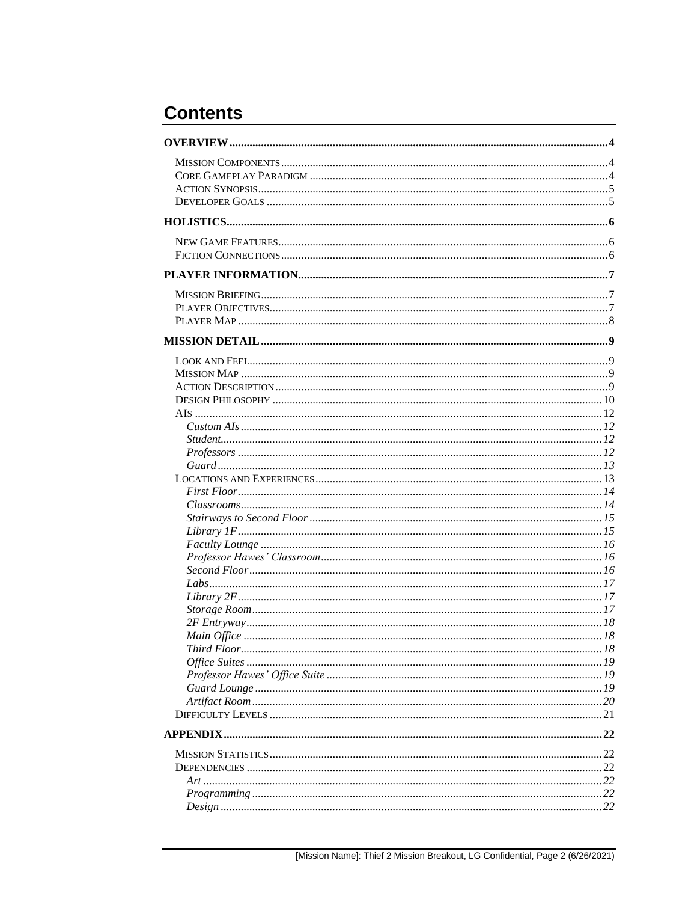## **Contents**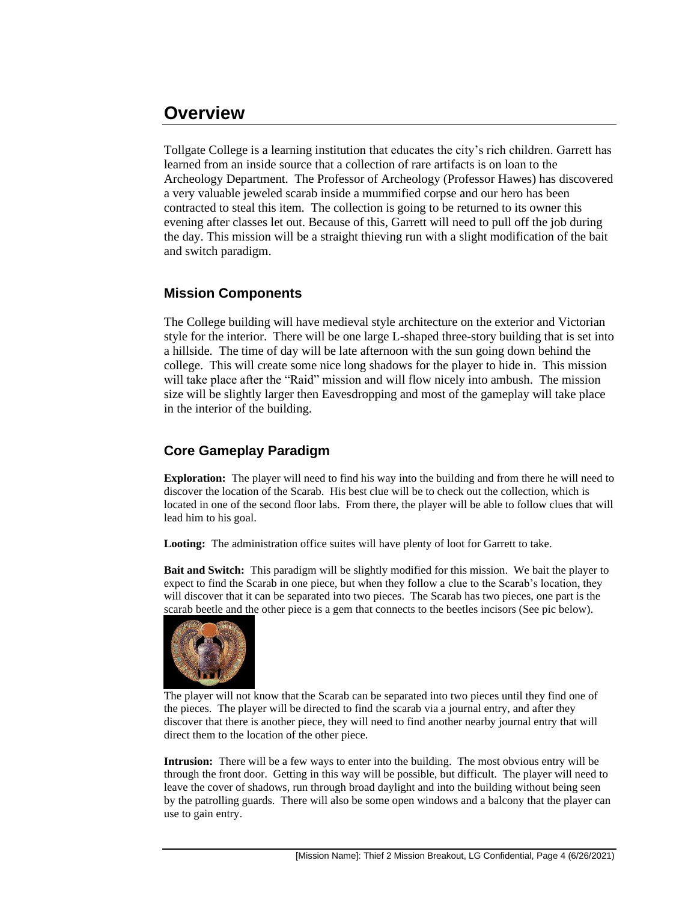## **Overview**

Tollgate College is a learning institution that educates the city's rich children. Garrett has learned from an inside source that a collection of rare artifacts is on loan to the Archeology Department. The Professor of Archeology (Professor Hawes) has discovered a very valuable jeweled scarab inside a mummified corpse and our hero has been contracted to steal this item. The collection is going to be returned to its owner this evening after classes let out. Because of this, Garrett will need to pull off the job during the day. This mission will be a straight thieving run with a slight modification of the bait and switch paradigm.

## **Mission Components**

The College building will have medieval style architecture on the exterior and Victorian style for the interior. There will be one large L-shaped three-story building that is set into a hillside. The time of day will be late afternoon with the sun going down behind the college. This will create some nice long shadows for the player to hide in. This mission will take place after the "Raid" mission and will flow nicely into ambush. The mission size will be slightly larger then Eavesdropping and most of the gameplay will take place in the interior of the building.

## **Core Gameplay Paradigm**

**Exploration:** The player will need to find his way into the building and from there he will need to discover the location of the Scarab. His best clue will be to check out the collection, which is located in one of the second floor labs. From there, the player will be able to follow clues that will lead him to his goal.

**Looting:** The administration office suites will have plenty of loot for Garrett to take.

**Bait and Switch:** This paradigm will be slightly modified for this mission. We bait the player to expect to find the Scarab in one piece, but when they follow a clue to the Scarab's location, they will discover that it can be separated into two pieces. The Scarab has two pieces, one part is the scarab beetle and the other piece is a gem that connects to the beetles incisors (See pic below).



The player will not know that the Scarab can be separated into two pieces until they find one of the pieces. The player will be directed to find the scarab via a journal entry, and after they discover that there is another piece, they will need to find another nearby journal entry that will direct them to the location of the other piece.

**Intrusion:** There will be a few ways to enter into the building. The most obvious entry will be through the front door. Getting in this way will be possible, but difficult. The player will need to leave the cover of shadows, run through broad daylight and into the building without being seen by the patrolling guards. There will also be some open windows and a balcony that the player can use to gain entry.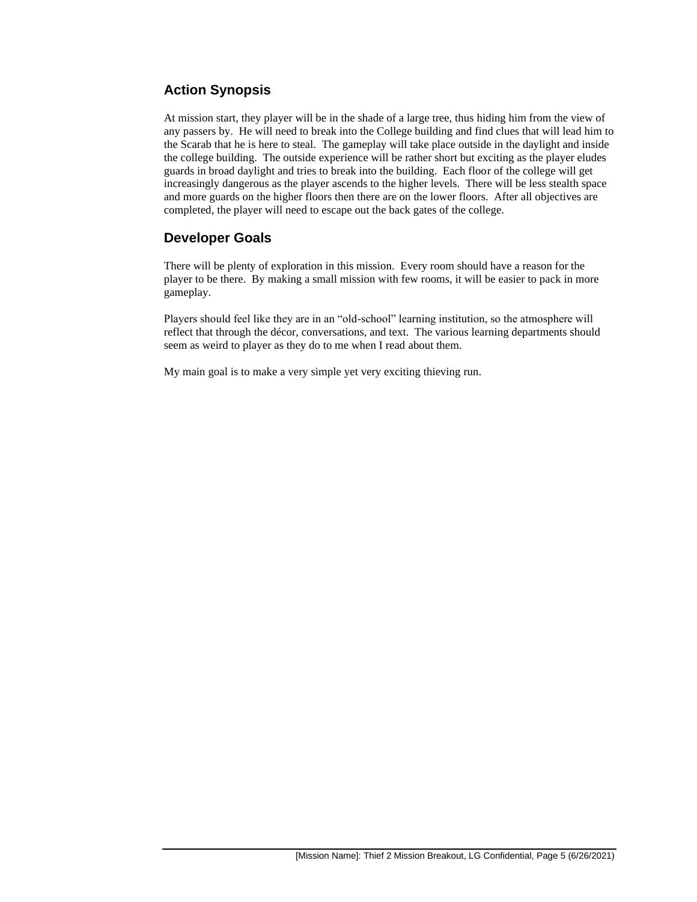## **Action Synopsis**

At mission start, they player will be in the shade of a large tree, thus hiding him from the view of any passers by. He will need to break into the College building and find clues that will lead him to the Scarab that he is here to steal. The gameplay will take place outside in the daylight and inside the college building. The outside experience will be rather short but exciting as the player eludes guards in broad daylight and tries to break into the building. Each floor of the college will get increasingly dangerous as the player ascends to the higher levels. There will be less stealth space and more guards on the higher floors then there are on the lower floors. After all objectives are completed, the player will need to escape out the back gates of the college.

## **Developer Goals**

There will be plenty of exploration in this mission. Every room should have a reason for the player to be there. By making a small mission with few rooms, it will be easier to pack in more gameplay.

Players should feel like they are in an "old-school" learning institution, so the atmosphere will reflect that through the décor, conversations, and text. The various learning departments should seem as weird to player as they do to me when I read about them.

My main goal is to make a very simple yet very exciting thieving run.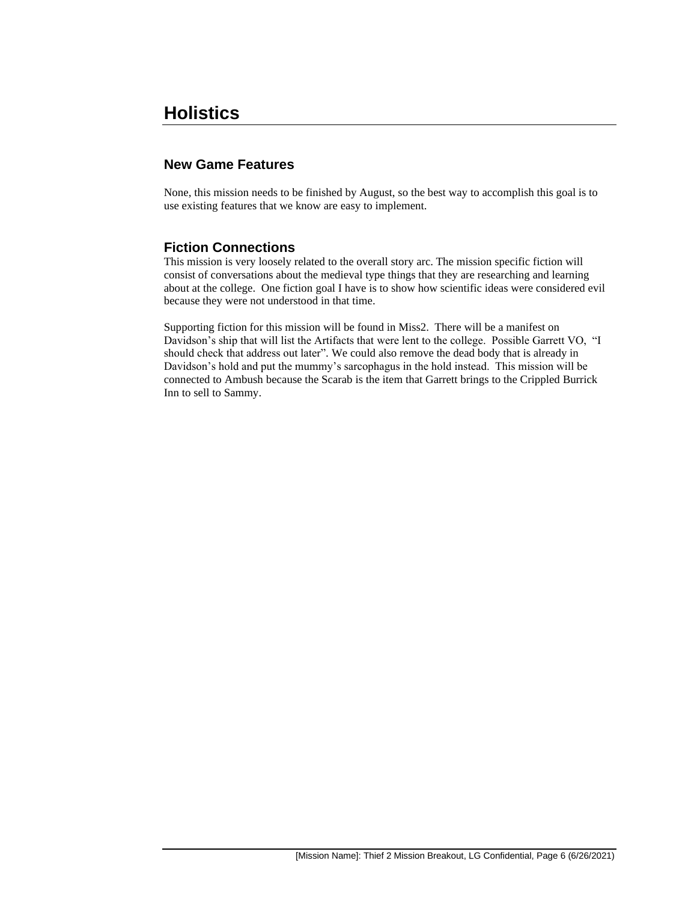## **Holistics**

## **New Game Features**

None, this mission needs to be finished by August, so the best way to accomplish this goal is to use existing features that we know are easy to implement.

### **Fiction Connections**

This mission is very loosely related to the overall story arc. The mission specific fiction will consist of conversations about the medieval type things that they are researching and learning about at the college. One fiction goal I have is to show how scientific ideas were considered evil because they were not understood in that time.

Supporting fiction for this mission will be found in Miss2. There will be a manifest on Davidson's ship that will list the Artifacts that were lent to the college. Possible Garrett VO, "I should check that address out later"*.* We could also remove the dead body that is already in Davidson's hold and put the mummy's sarcophagus in the hold instead. This mission will be connected to Ambush because the Scarab is the item that Garrett brings to the Crippled Burrick Inn to sell to Sammy.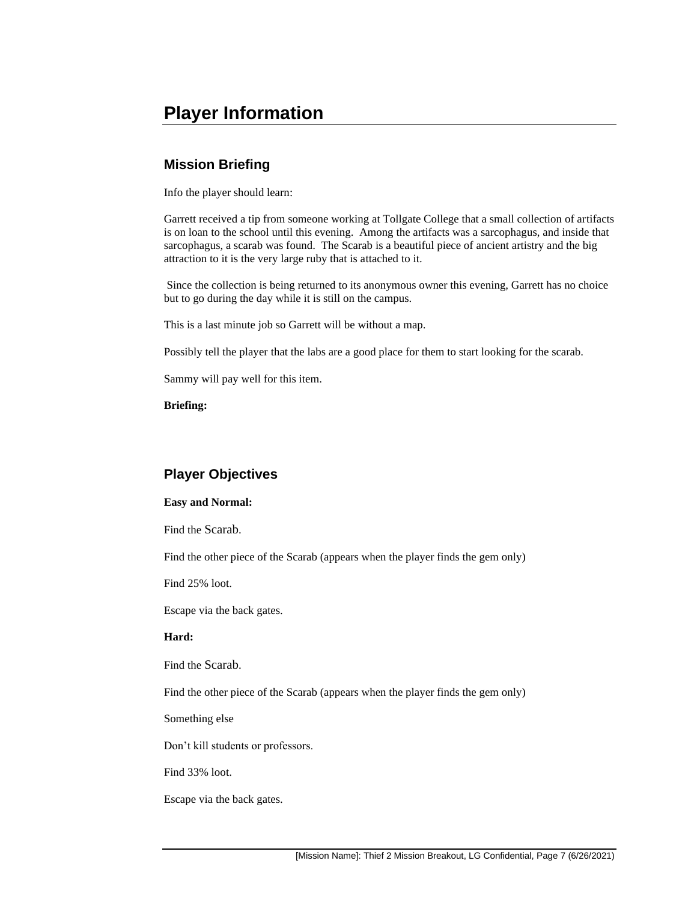## **Player Information**

## **Mission Briefing**

Info the player should learn:

Garrett received a tip from someone working at Tollgate College that a small collection of artifacts is on loan to the school until this evening. Among the artifacts was a sarcophagus, and inside that sarcophagus, a scarab was found. The Scarab is a beautiful piece of ancient artistry and the big attraction to it is the very large ruby that is attached to it.

Since the collection is being returned to its anonymous owner this evening, Garrett has no choice but to go during the day while it is still on the campus.

This is a last minute job so Garrett will be without a map.

Possibly tell the player that the labs are a good place for them to start looking for the scarab.

Sammy will pay well for this item.

**Briefing:**

## **Player Objectives**

#### **Easy and Normal:**

Find the Scarab.

Find the other piece of the Scarab (appears when the player finds the gem only)

Find 25% loot.

Escape via the back gates.

#### **Hard:**

Find the Scarab.

Find the other piece of the Scarab (appears when the player finds the gem only)

Something else

Don't kill students or professors.

Find 33% loot.

Escape via the back gates.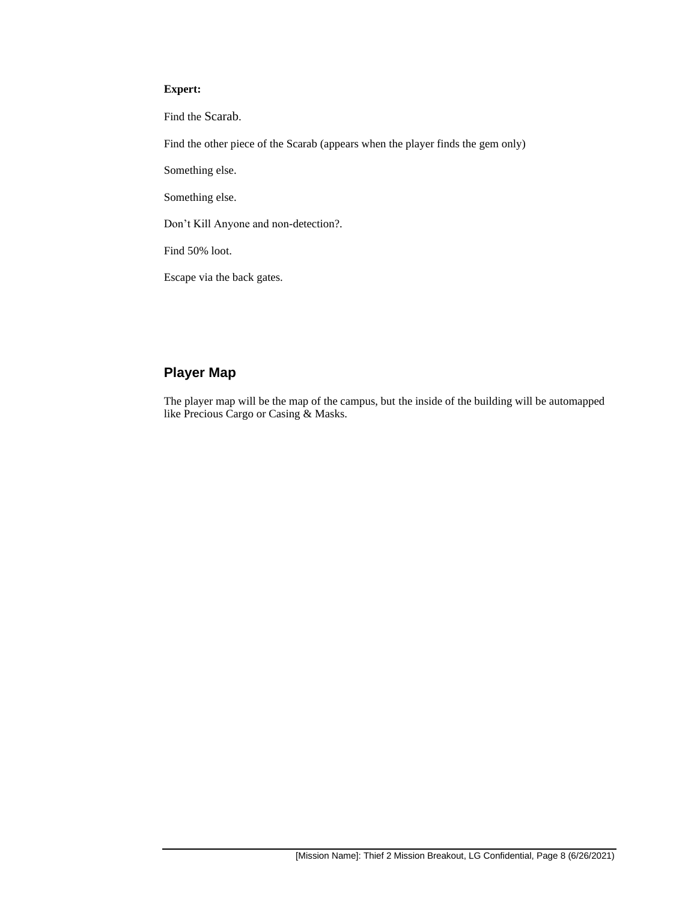#### **Expert:**

Find the Scarab.

Find the other piece of the Scarab (appears when the player finds the gem only)

Something else.

Something else.

Don't Kill Anyone and non-detection?.

Find 50% loot.

Escape via the back gates.

## **Player Map**

The player map will be the map of the campus, but the inside of the building will be automapped like Precious Cargo or Casing & Masks.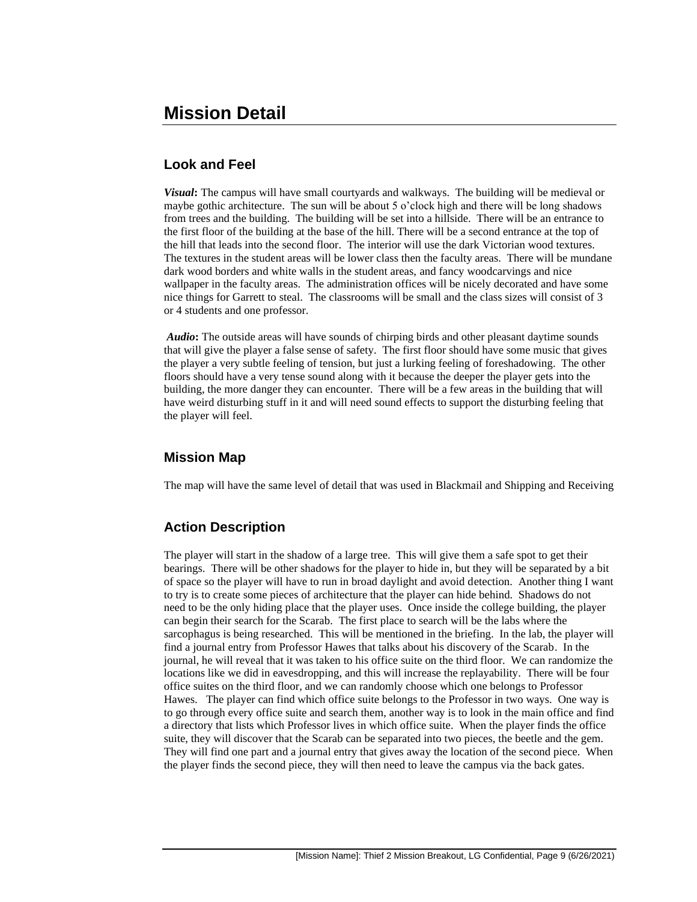## **Look and Feel**

*Visual***:** The campus will have small courtyards and walkways. The building will be medieval or maybe gothic architecture. The sun will be about 5 o'clock high and there will be long shadows from trees and the building. The building will be set into a hillside. There will be an entrance to the first floor of the building at the base of the hill. There will be a second entrance at the top of the hill that leads into the second floor. The interior will use the dark Victorian wood textures. The textures in the student areas will be lower class then the faculty areas. There will be mundane dark wood borders and white walls in the student areas, and fancy woodcarvings and nice wallpaper in the faculty areas. The administration offices will be nicely decorated and have some nice things for Garrett to steal. The classrooms will be small and the class sizes will consist of 3 or 4 students and one professor.

*Audio***:** The outside areas will have sounds of chirping birds and other pleasant daytime sounds that will give the player a false sense of safety. The first floor should have some music that gives the player a very subtle feeling of tension, but just a lurking feeling of foreshadowing. The other floors should have a very tense sound along with it because the deeper the player gets into the building, the more danger they can encounter. There will be a few areas in the building that will have weird disturbing stuff in it and will need sound effects to support the disturbing feeling that the player will feel.

## **Mission Map**

The map will have the same level of detail that was used in Blackmail and Shipping and Receiving

## **Action Description**

The player will start in the shadow of a large tree. This will give them a safe spot to get their bearings. There will be other shadows for the player to hide in, but they will be separated by a bit of space so the player will have to run in broad daylight and avoid detection. Another thing I want to try is to create some pieces of architecture that the player can hide behind. Shadows do not need to be the only hiding place that the player uses. Once inside the college building, the player can begin their search for the Scarab. The first place to search will be the labs where the sarcophagus is being researched. This will be mentioned in the briefing. In the lab, the player will find a journal entry from Professor Hawes that talks about his discovery of the Scarab. In the journal, he will reveal that it was taken to his office suite on the third floor. We can randomize the locations like we did in eavesdropping, and this will increase the replayability. There will be four office suites on the third floor, and we can randomly choose which one belongs to Professor Hawes. The player can find which office suite belongs to the Professor in two ways. One way is to go through every office suite and search them, another way is to look in the main office and find a directory that lists which Professor lives in which office suite. When the player finds the office suite, they will discover that the Scarab can be separated into two pieces, the beetle and the gem. They will find one part and a journal entry that gives away the location of the second piece. When the player finds the second piece, they will then need to leave the campus via the back gates.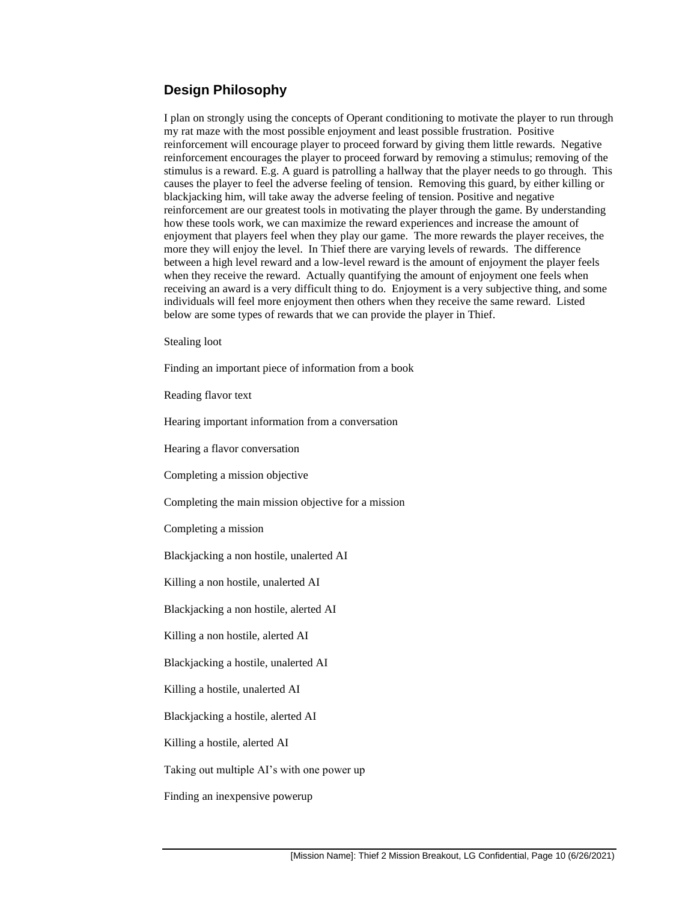## **Design Philosophy**

I plan on strongly using the concepts of Operant conditioning to motivate the player to run through my rat maze with the most possible enjoyment and least possible frustration. Positive reinforcement will encourage player to proceed forward by giving them little rewards. Negative reinforcement encourages the player to proceed forward by removing a stimulus; removing of the stimulus is a reward. E.g. A guard is patrolling a hallway that the player needs to go through. This causes the player to feel the adverse feeling of tension. Removing this guard, by either killing or blackjacking him, will take away the adverse feeling of tension. Positive and negative reinforcement are our greatest tools in motivating the player through the game. By understanding how these tools work, we can maximize the reward experiences and increase the amount of enjoyment that players feel when they play our game. The more rewards the player receives, the more they will enjoy the level. In Thief there are varying levels of rewards. The difference between a high level reward and a low-level reward is the amount of enjoyment the player feels when they receive the reward. Actually quantifying the amount of enjoyment one feels when receiving an award is a very difficult thing to do. Enjoyment is a very subjective thing, and some individuals will feel more enjoyment then others when they receive the same reward. Listed below are some types of rewards that we can provide the player in Thief.

Stealing loot

Finding an important piece of information from a book

Reading flavor text

Hearing important information from a conversation

Hearing a flavor conversation

Completing a mission objective

Completing the main mission objective for a mission

Completing a mission

Blackjacking a non hostile, unalerted AI

Killing a non hostile, unalerted AI

Blackjacking a non hostile, alerted AI

Killing a non hostile, alerted AI

Blackjacking a hostile, unalerted AI

Killing a hostile, unalerted AI

Blackjacking a hostile, alerted AI

Killing a hostile, alerted AI

Taking out multiple AI's with one power up

Finding an inexpensive powerup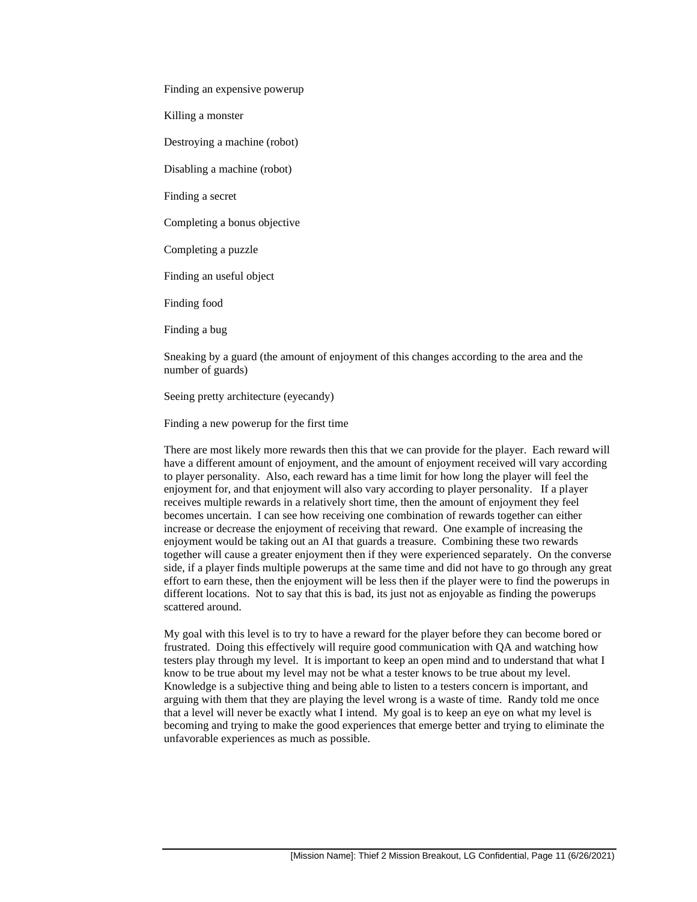Finding an expensive powerup

Killing a monster

Destroying a machine (robot)

Disabling a machine (robot)

Finding a secret

Completing a bonus objective

Completing a puzzle

Finding an useful object

Finding food

Finding a bug

Sneaking by a guard (the amount of enjoyment of this changes according to the area and the number of guards)

Seeing pretty architecture (eyecandy)

Finding a new powerup for the first time

There are most likely more rewards then this that we can provide for the player. Each reward will have a different amount of enjoyment, and the amount of enjoyment received will vary according to player personality. Also, each reward has a time limit for how long the player will feel the enjoyment for, and that enjoyment will also vary according to player personality. If a player receives multiple rewards in a relatively short time, then the amount of enjoyment they feel becomes uncertain. I can see how receiving one combination of rewards together can either increase or decrease the enjoyment of receiving that reward. One example of increasing the enjoyment would be taking out an AI that guards a treasure. Combining these two rewards together will cause a greater enjoyment then if they were experienced separately. On the converse side, if a player finds multiple powerups at the same time and did not have to go through any great effort to earn these, then the enjoyment will be less then if the player were to find the powerups in different locations. Not to say that this is bad, its just not as enjoyable as finding the powerups scattered around.

My goal with this level is to try to have a reward for the player before they can become bored or frustrated. Doing this effectively will require good communication with QA and watching how testers play through my level. It is important to keep an open mind and to understand that what I know to be true about my level may not be what a tester knows to be true about my level. Knowledge is a subjective thing and being able to listen to a testers concern is important, and arguing with them that they are playing the level wrong is a waste of time. Randy told me once that a level will never be exactly what I intend. My goal is to keep an eye on what my level is becoming and trying to make the good experiences that emerge better and trying to eliminate the unfavorable experiences as much as possible.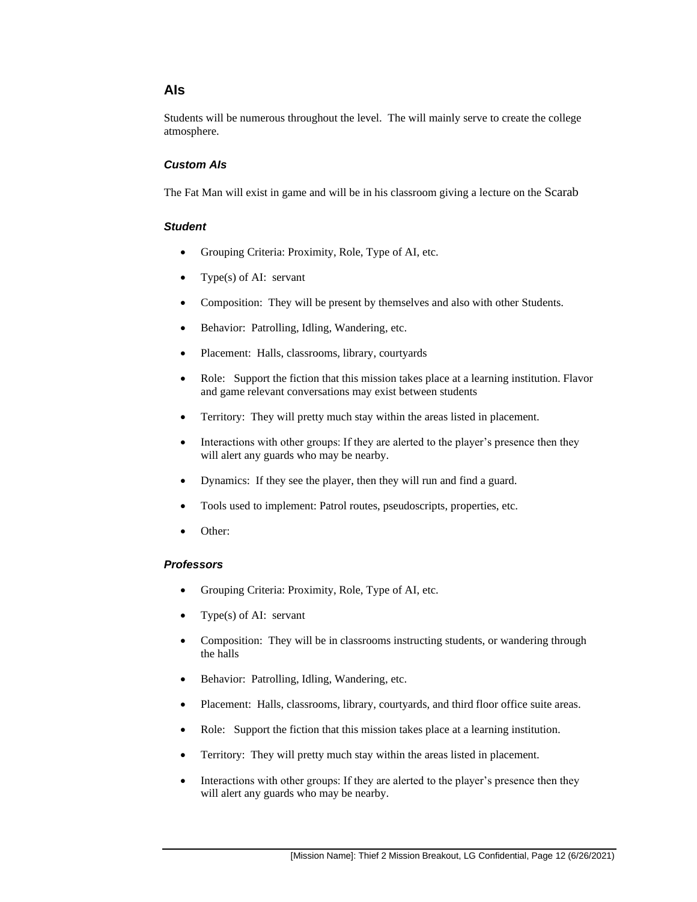### **AIs**

Students will be numerous throughout the level. The will mainly serve to create the college atmosphere.

#### *Custom AIs*

The Fat Man will exist in game and will be in his classroom giving a lecture on the Scarab

#### *Student*

- Grouping Criteria: Proximity, Role, Type of AI, etc.
- Type $(s)$  of AI: servant
- Composition: They will be present by themselves and also with other Students.
- Behavior: Patrolling, Idling, Wandering, etc.
- Placement: Halls, classrooms, library, courtyards
- Role: Support the fiction that this mission takes place at a learning institution. Flavor and game relevant conversations may exist between students
- Territory: They will pretty much stay within the areas listed in placement.
- Interactions with other groups: If they are alerted to the player's presence then they will alert any guards who may be nearby.
- Dynamics: If they see the player, then they will run and find a guard.
- Tools used to implement: Patrol routes, pseudoscripts, properties, etc.
- Other:

#### *Professors*

- Grouping Criteria: Proximity, Role, Type of AI, etc.
- Type(s) of AI: servant
- Composition: They will be in classrooms instructing students, or wandering through the halls
- Behavior: Patrolling, Idling, Wandering, etc.
- Placement: Halls, classrooms, library, courtyards, and third floor office suite areas.
- Role: Support the fiction that this mission takes place at a learning institution.
- Territory: They will pretty much stay within the areas listed in placement.
- Interactions with other groups: If they are alerted to the player's presence then they will alert any guards who may be nearby.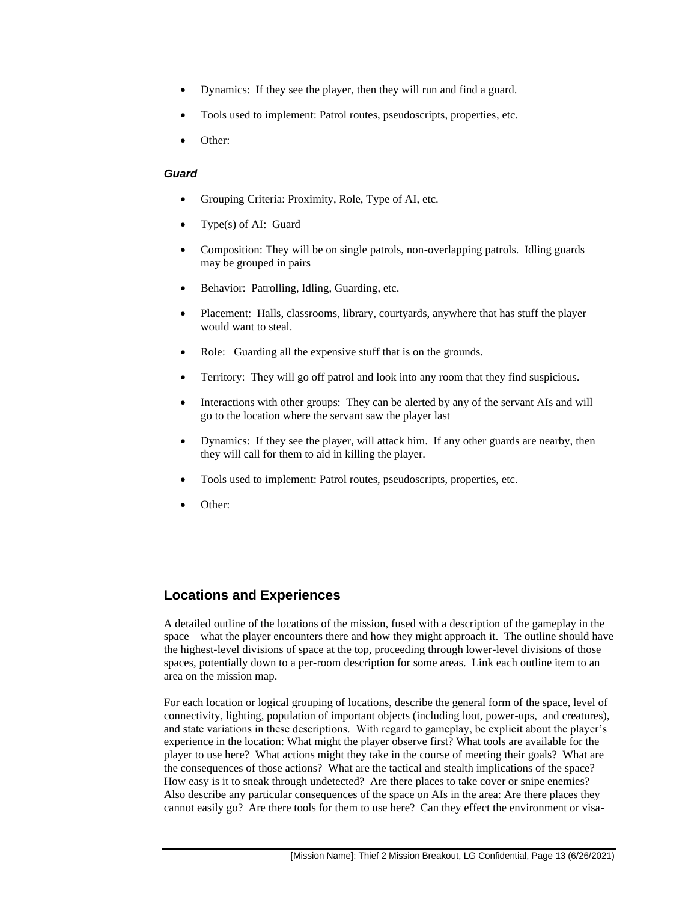- Dynamics: If they see the player, then they will run and find a guard.
- Tools used to implement: Patrol routes, pseudoscripts, properties, etc.
- Other:

#### *Guard*

- Grouping Criteria: Proximity, Role, Type of AI, etc.
- Type(s) of AI: Guard
- Composition: They will be on single patrols, non-overlapping patrols. Idling guards may be grouped in pairs
- Behavior: Patrolling, Idling, Guarding, etc.
- Placement: Halls, classrooms, library, courtyards, anywhere that has stuff the player would want to steal.
- Role: Guarding all the expensive stuff that is on the grounds.
- Territory: They will go off patrol and look into any room that they find suspicious.
- Interactions with other groups: They can be alerted by any of the servant AIs and will go to the location where the servant saw the player last
- Dynamics: If they see the player, will attack him. If any other guards are nearby, then they will call for them to aid in killing the player.
- Tools used to implement: Patrol routes, pseudoscripts, properties, etc.
- Other:

## **Locations and Experiences**

A detailed outline of the locations of the mission, fused with a description of the gameplay in the space – what the player encounters there and how they might approach it. The outline should have the highest-level divisions of space at the top, proceeding through lower-level divisions of those spaces, potentially down to a per-room description for some areas. Link each outline item to an area on the mission map.

For each location or logical grouping of locations, describe the general form of the space, level of connectivity, lighting, population of important objects (including loot, power-ups, and creatures), and state variations in these descriptions. With regard to gameplay, be explicit about the player's experience in the location: What might the player observe first? What tools are available for the player to use here? What actions might they take in the course of meeting their goals? What are the consequences of those actions? What are the tactical and stealth implications of the space? How easy is it to sneak through undetected? Are there places to take cover or snipe enemies? Also describe any particular consequences of the space on AIs in the area: Are there places they cannot easily go? Are there tools for them to use here? Can they effect the environment or visa-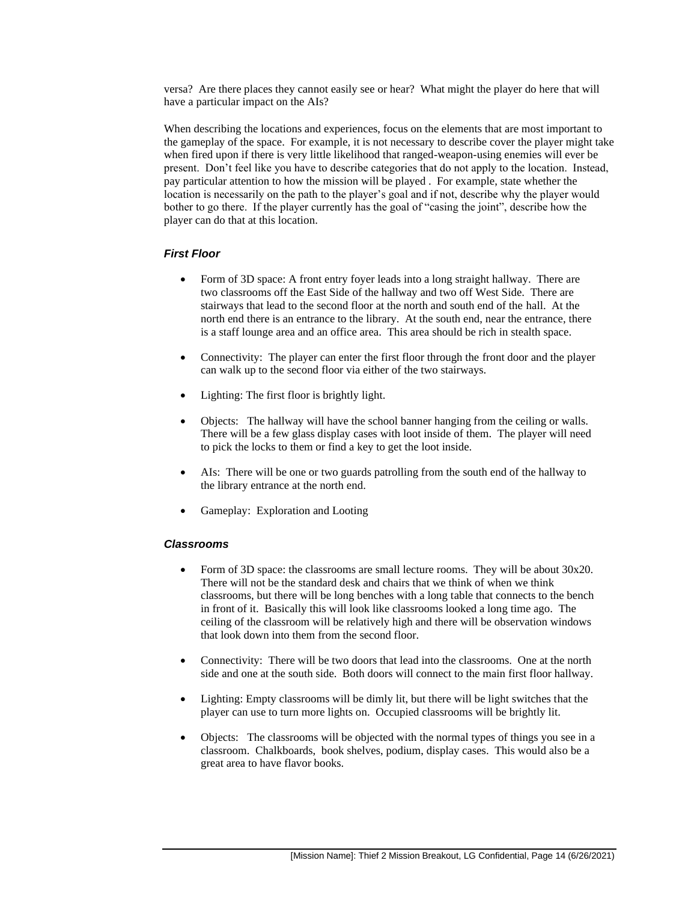versa? Are there places they cannot easily see or hear? What might the player do here that will have a particular impact on the AIs?

When describing the locations and experiences, focus on the elements that are most important to the gameplay of the space. For example, it is not necessary to describe cover the player might take when fired upon if there is very little likelihood that ranged-weapon-using enemies will ever be present. Don't feel like you have to describe categories that do not apply to the location. Instead, pay particular attention to how the mission will be played . For example, state whether the location is necessarily on the path to the player's goal and if not, describe why the player would bother to go there. If the player currently has the goal of "casing the joint", describe how the player can do that at this location.

#### *First Floor*

- Form of 3D space: A front entry foyer leads into a long straight hallway. There are two classrooms off the East Side of the hallway and two off West Side. There are stairways that lead to the second floor at the north and south end of the hall. At the north end there is an entrance to the library. At the south end, near the entrance, there is a staff lounge area and an office area. This area should be rich in stealth space.
- Connectivity: The player can enter the first floor through the front door and the player can walk up to the second floor via either of the two stairways.
- Lighting: The first floor is brightly light.
- Objects: The hallway will have the school banner hanging from the ceiling or walls. There will be a few glass display cases with loot inside of them. The player will need to pick the locks to them or find a key to get the loot inside.
- AIs: There will be one or two guards patrolling from the south end of the hallway to the library entrance at the north end.
- Gameplay: Exploration and Looting

#### *Classrooms*

- Form of 3D space: the classrooms are small lecture rooms. They will be about 30x20. There will not be the standard desk and chairs that we think of when we think classrooms, but there will be long benches with a long table that connects to the bench in front of it. Basically this will look like classrooms looked a long time ago. The ceiling of the classroom will be relatively high and there will be observation windows that look down into them from the second floor.
- Connectivity: There will be two doors that lead into the classrooms. One at the north side and one at the south side. Both doors will connect to the main first floor hallway.
- Lighting: Empty classrooms will be dimly lit, but there will be light switches that the player can use to turn more lights on. Occupied classrooms will be brightly lit.
- Objects: The classrooms will be objected with the normal types of things you see in a classroom. Chalkboards, book shelves, podium, display cases. This would also be a great area to have flavor books.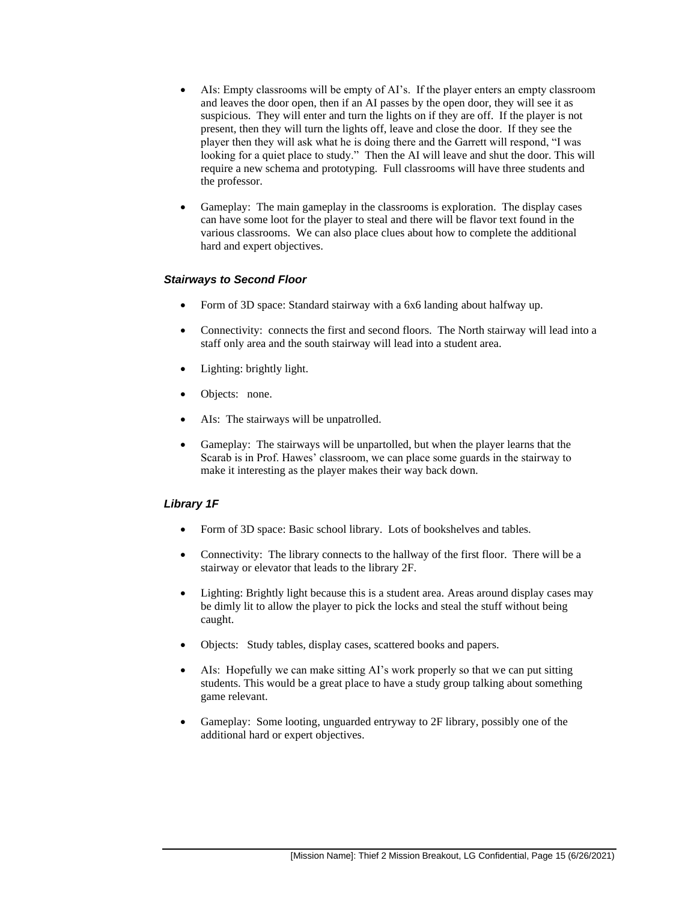- AIs: Empty classrooms will be empty of AI's. If the player enters an empty classroom and leaves the door open, then if an AI passes by the open door, they will see it as suspicious. They will enter and turn the lights on if they are off. If the player is not present, then they will turn the lights off, leave and close the door. If they see the player then they will ask what he is doing there and the Garrett will respond, "I was looking for a quiet place to study." Then the AI will leave and shut the door. This will require a new schema and prototyping. Full classrooms will have three students and the professor.
- Gameplay: The main gameplay in the classrooms is exploration. The display cases can have some loot for the player to steal and there will be flavor text found in the various classrooms. We can also place clues about how to complete the additional hard and expert objectives.

#### *Stairways to Second Floor*

- Form of 3D space: Standard stairway with a 6x6 landing about halfway up.
- Connectivity: connects the first and second floors. The North stairway will lead into a staff only area and the south stairway will lead into a student area.
- Lighting: brightly light.
- Objects: none.
- AIs: The stairways will be unpatrolled.
- Gameplay: The stairways will be unpartolled, but when the player learns that the Scarab is in Prof. Hawes' classroom, we can place some guards in the stairway to make it interesting as the player makes their way back down.

#### *Library 1F*

- Form of 3D space: Basic school library. Lots of bookshelves and tables.
- Connectivity: The library connects to the hallway of the first floor. There will be a stairway or elevator that leads to the library 2F.
- Lighting: Brightly light because this is a student area. Areas around display cases may be dimly lit to allow the player to pick the locks and steal the stuff without being caught.
- Objects: Study tables, display cases, scattered books and papers.
- AIs: Hopefully we can make sitting AI's work properly so that we can put sitting students. This would be a great place to have a study group talking about something game relevant.
- Gameplay: Some looting, unguarded entryway to 2F library, possibly one of the additional hard or expert objectives.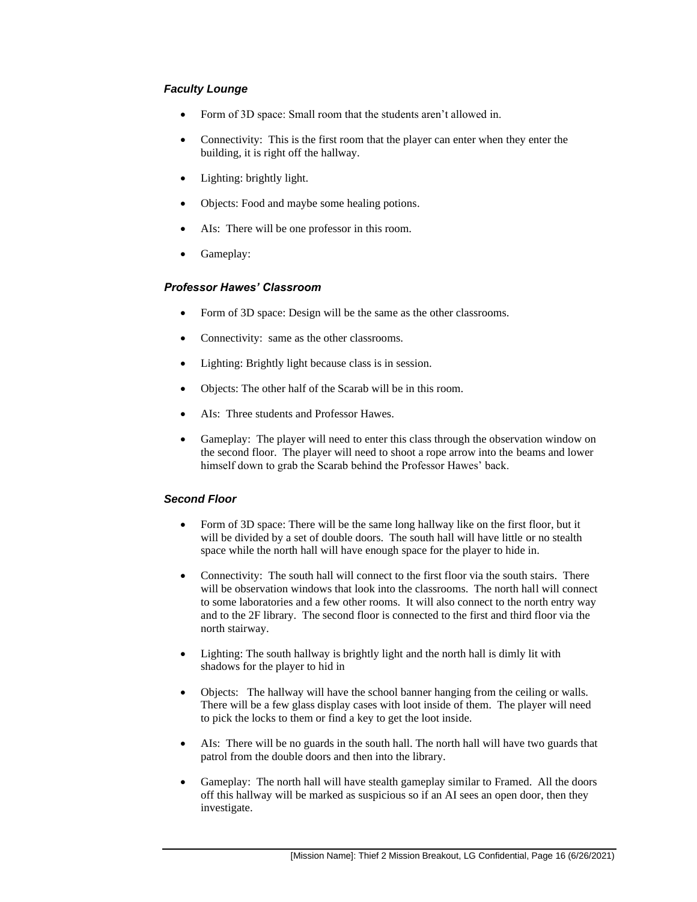#### *Faculty Lounge*

- Form of 3D space: Small room that the students aren't allowed in.
- Connectivity: This is the first room that the player can enter when they enter the building, it is right off the hallway.
- Lighting: brightly light.
- Objects: Food and maybe some healing potions.
- AIs: There will be one professor in this room.
- Gameplay:

#### *Professor Hawes' Classroom*

- Form of 3D space: Design will be the same as the other classrooms.
- Connectivity: same as the other classrooms.
- Lighting: Brightly light because class is in session.
- Objects: The other half of the Scarab will be in this room.
- AIs: Three students and Professor Hawes.
- Gameplay: The player will need to enter this class through the observation window on the second floor. The player will need to shoot a rope arrow into the beams and lower himself down to grab the Scarab behind the Professor Hawes' back.

#### *Second Floor*

- Form of 3D space: There will be the same long hallway like on the first floor, but it will be divided by a set of double doors. The south hall will have little or no stealth space while the north hall will have enough space for the player to hide in.
- Connectivity: The south hall will connect to the first floor via the south stairs. There will be observation windows that look into the classrooms. The north hall will connect to some laboratories and a few other rooms. It will also connect to the north entry way and to the 2F library. The second floor is connected to the first and third floor via the north stairway.
- Lighting: The south hallway is brightly light and the north hall is dimly lit with shadows for the player to hid in
- Objects: The hallway will have the school banner hanging from the ceiling or walls. There will be a few glass display cases with loot inside of them. The player will need to pick the locks to them or find a key to get the loot inside.
- AIs: There will be no guards in the south hall. The north hall will have two guards that patrol from the double doors and then into the library.
- Gameplay: The north hall will have stealth gameplay similar to Framed. All the doors off this hallway will be marked as suspicious so if an AI sees an open door, then they investigate.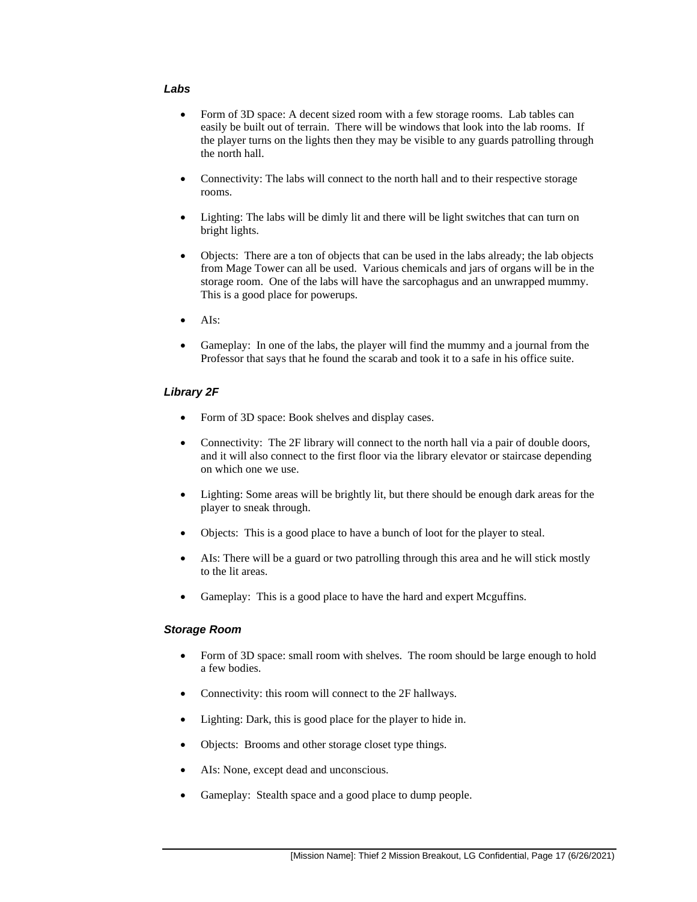#### *Labs*

- Form of 3D space: A decent sized room with a few storage rooms. Lab tables can easily be built out of terrain. There will be windows that look into the lab rooms. If the player turns on the lights then they may be visible to any guards patrolling through the north hall.
- Connectivity: The labs will connect to the north hall and to their respective storage rooms.
- Lighting: The labs will be dimly lit and there will be light switches that can turn on bright lights.
- Objects: There are a ton of objects that can be used in the labs already; the lab objects from Mage Tower can all be used. Various chemicals and jars of organs will be in the storage room. One of the labs will have the sarcophagus and an unwrapped mummy. This is a good place for powerups.
- AIs:
- Gameplay: In one of the labs, the player will find the mummy and a journal from the Professor that says that he found the scarab and took it to a safe in his office suite.

#### *Library 2F*

- Form of 3D space: Book shelves and display cases.
- Connectivity: The 2F library will connect to the north hall via a pair of double doors, and it will also connect to the first floor via the library elevator or staircase depending on which one we use.
- Lighting: Some areas will be brightly lit, but there should be enough dark areas for the player to sneak through.
- Objects: This is a good place to have a bunch of loot for the player to steal.
- AIs: There will be a guard or two patrolling through this area and he will stick mostly to the lit areas.
- Gameplay: This is a good place to have the hard and expert Mcguffins.

#### *Storage Room*

- Form of 3D space: small room with shelves. The room should be large enough to hold a few bodies.
- Connectivity: this room will connect to the 2F hallways.
- Lighting: Dark, this is good place for the player to hide in.
- Objects: Brooms and other storage closet type things.
- AIs: None, except dead and unconscious.
- Gameplay: Stealth space and a good place to dump people.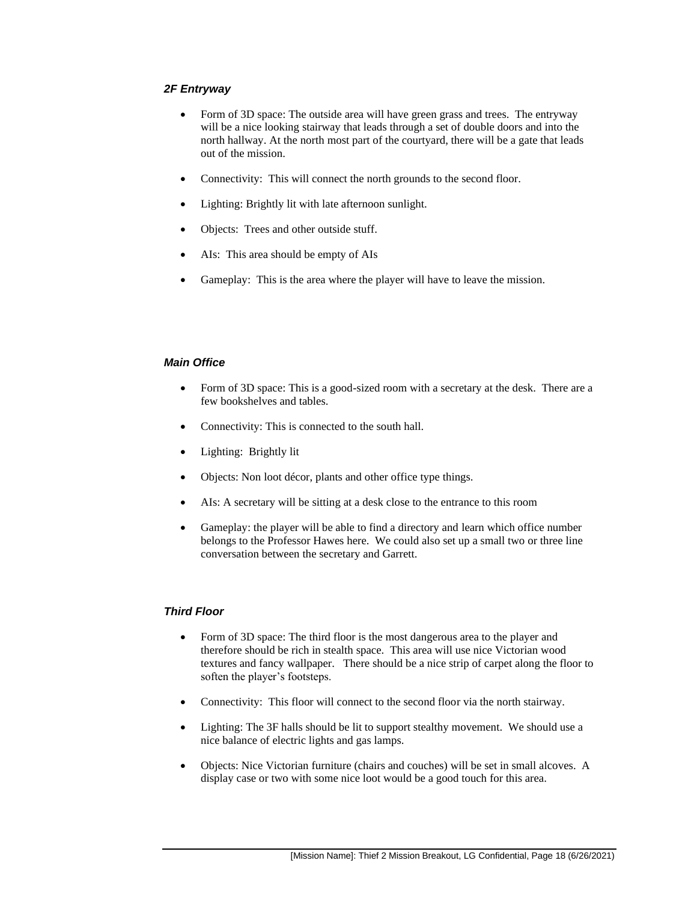#### *2F Entryway*

- Form of 3D space: The outside area will have green grass and trees. The entryway will be a nice looking stairway that leads through a set of double doors and into the north hallway. At the north most part of the courtyard, there will be a gate that leads out of the mission.
- Connectivity: This will connect the north grounds to the second floor.
- Lighting: Brightly lit with late afternoon sunlight.
- Objects: Trees and other outside stuff.
- AIs: This area should be empty of AIs
- Gameplay: This is the area where the player will have to leave the mission.

#### *Main Office*

- Form of 3D space: This is a good-sized room with a secretary at the desk. There are a few bookshelves and tables.
- Connectivity: This is connected to the south hall.
- Lighting: Brightly lit
- Objects: Non loot décor, plants and other office type things.
- AIs: A secretary will be sitting at a desk close to the entrance to this room
- Gameplay: the player will be able to find a directory and learn which office number belongs to the Professor Hawes here. We could also set up a small two or three line conversation between the secretary and Garrett.

#### *Third Floor*

- Form of 3D space: The third floor is the most dangerous area to the player and therefore should be rich in stealth space. This area will use nice Victorian wood textures and fancy wallpaper. There should be a nice strip of carpet along the floor to soften the player's footsteps.
- Connectivity: This floor will connect to the second floor via the north stairway.
- Lighting: The 3F halls should be lit to support stealthy movement. We should use a nice balance of electric lights and gas lamps.
- Objects: Nice Victorian furniture (chairs and couches) will be set in small alcoves. A display case or two with some nice loot would be a good touch for this area.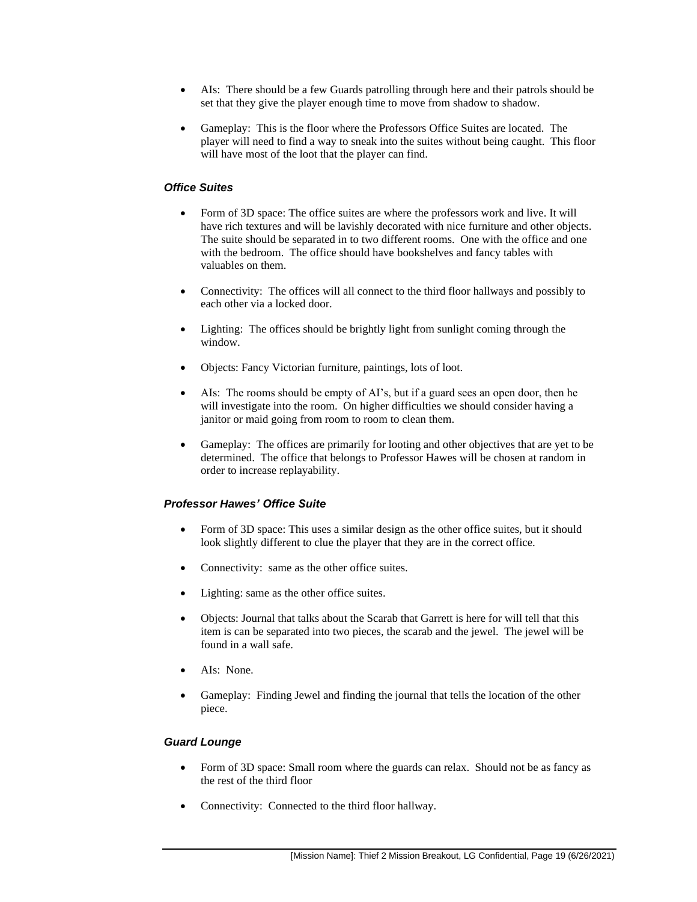- AIs: There should be a few Guards patrolling through here and their patrols should be set that they give the player enough time to move from shadow to shadow.
- Gameplay: This is the floor where the Professors Office Suites are located. The player will need to find a way to sneak into the suites without being caught. This floor will have most of the loot that the player can find.

#### *Office Suites*

- Form of 3D space: The office suites are where the professors work and live. It will have rich textures and will be lavishly decorated with nice furniture and other objects. The suite should be separated in to two different rooms. One with the office and one with the bedroom. The office should have bookshelves and fancy tables with valuables on them.
- Connectivity: The offices will all connect to the third floor hallways and possibly to each other via a locked door.
- Lighting: The offices should be brightly light from sunlight coming through the window.
- Objects: Fancy Victorian furniture, paintings, lots of loot.
- AIs: The rooms should be empty of AI's, but if a guard sees an open door, then he will investigate into the room. On higher difficulties we should consider having a janitor or maid going from room to room to clean them.
- Gameplay: The offices are primarily for looting and other objectives that are yet to be determined. The office that belongs to Professor Hawes will be chosen at random in order to increase replayability.

#### *Professor Hawes' Office Suite*

- Form of 3D space: This uses a similar design as the other office suites, but it should look slightly different to clue the player that they are in the correct office.
- Connectivity: same as the other office suites.
- Lighting: same as the other office suites.
- Objects: Journal that talks about the Scarab that Garrett is here for will tell that this item is can be separated into two pieces, the scarab and the jewel. The jewel will be found in a wall safe.
- AIs: None.
- Gameplay: Finding Jewel and finding the journal that tells the location of the other piece.

#### *Guard Lounge*

- Form of 3D space: Small room where the guards can relax. Should not be as fancy as the rest of the third floor
- Connectivity: Connected to the third floor hallway.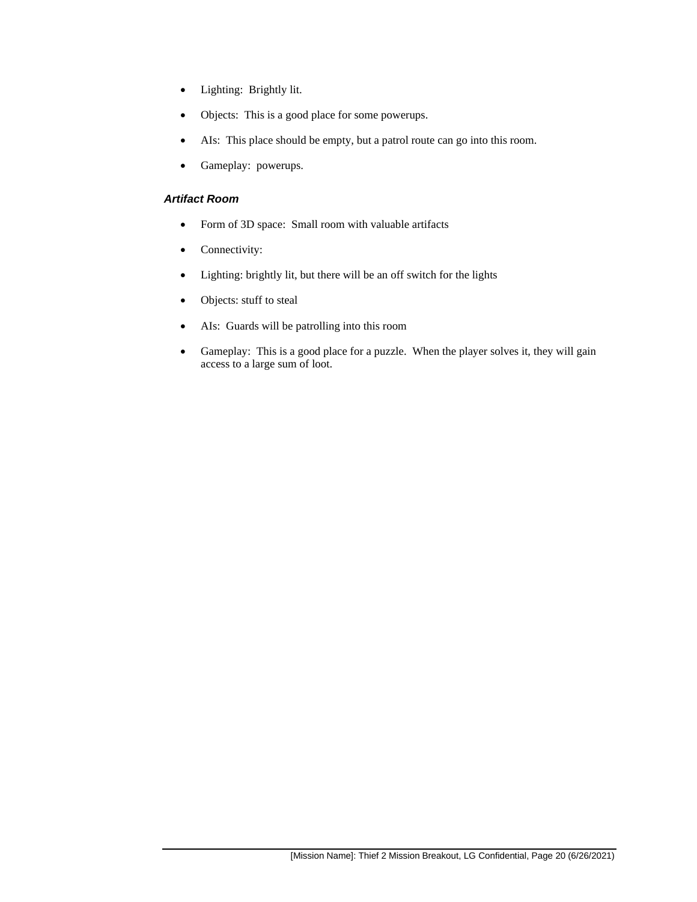- Lighting: Brightly lit.
- Objects: This is a good place for some powerups.
- AIs: This place should be empty, but a patrol route can go into this room.
- Gameplay: powerups.

#### *Artifact Room*

- Form of 3D space: Small room with valuable artifacts
- Connectivity:
- Lighting: brightly lit, but there will be an off switch for the lights
- Objects: stuff to steal
- AIs: Guards will be patrolling into this room
- Gameplay: This is a good place for a puzzle. When the player solves it, they will gain access to a large sum of loot.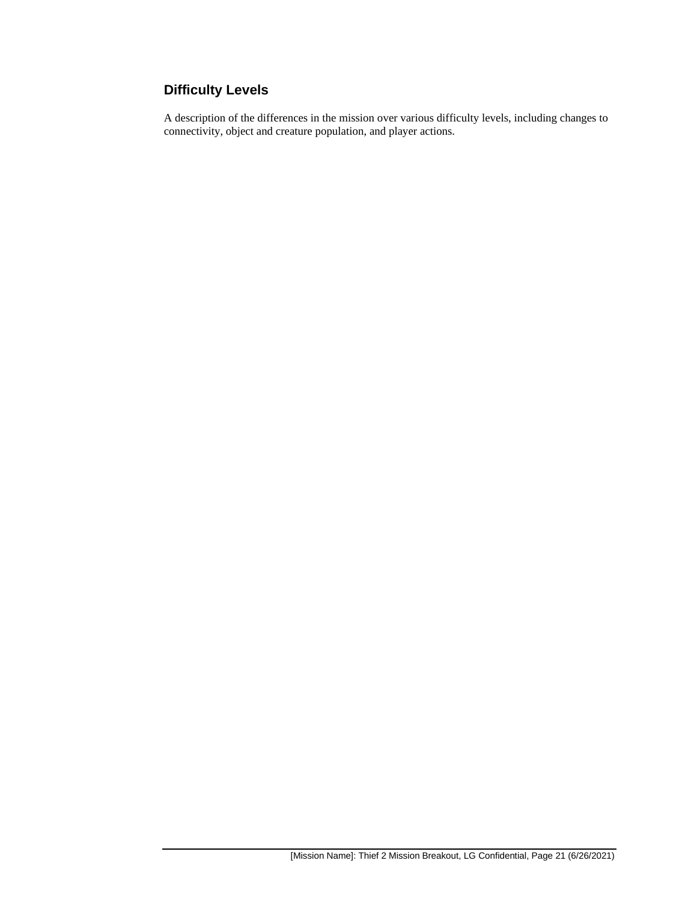## **Difficulty Levels**

A description of the differences in the mission over various difficulty levels, including changes to connectivity, object and creature population, and player actions.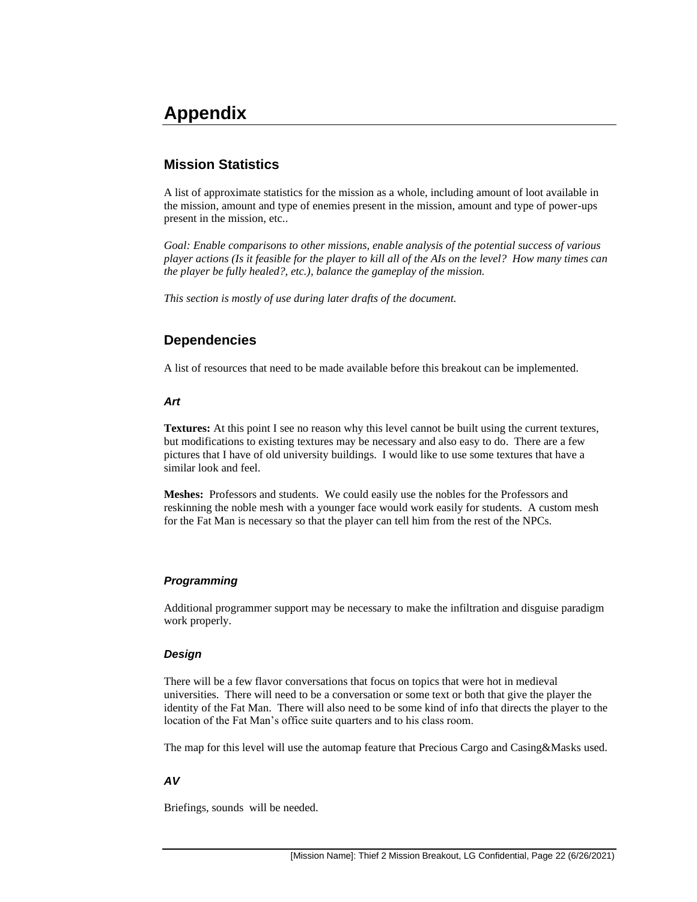## **Appendix**

## **Mission Statistics**

A list of approximate statistics for the mission as a whole, including amount of loot available in the mission, amount and type of enemies present in the mission, amount and type of power-ups present in the mission, etc..

*Goal: Enable comparisons to other missions, enable analysis of the potential success of various player actions (Is it feasible for the player to kill all of the AIs on the level? How many times can the player be fully healed?, etc.), balance the gameplay of the mission.*

*This section is mostly of use during later drafts of the document.*

## **Dependencies**

A list of resources that need to be made available before this breakout can be implemented.

#### *Art*

**Textures:** At this point I see no reason why this level cannot be built using the current textures, but modifications to existing textures may be necessary and also easy to do. There are a few pictures that I have of old university buildings. I would like to use some textures that have a similar look and feel.

**Meshes:** Professors and students. We could easily use the nobles for the Professors and reskinning the noble mesh with a younger face would work easily for students. A custom mesh for the Fat Man is necessary so that the player can tell him from the rest of the NPCs.

#### *Programming*

Additional programmer support may be necessary to make the infiltration and disguise paradigm work properly.

#### *Design*

There will be a few flavor conversations that focus on topics that were hot in medieval universities. There will need to be a conversation or some text or both that give the player the identity of the Fat Man. There will also need to be some kind of info that directs the player to the location of the Fat Man's office suite quarters and to his class room.

The map for this level will use the automap feature that Precious Cargo and Casing&Masks used.

#### *AV*

Briefings, sounds will be needed.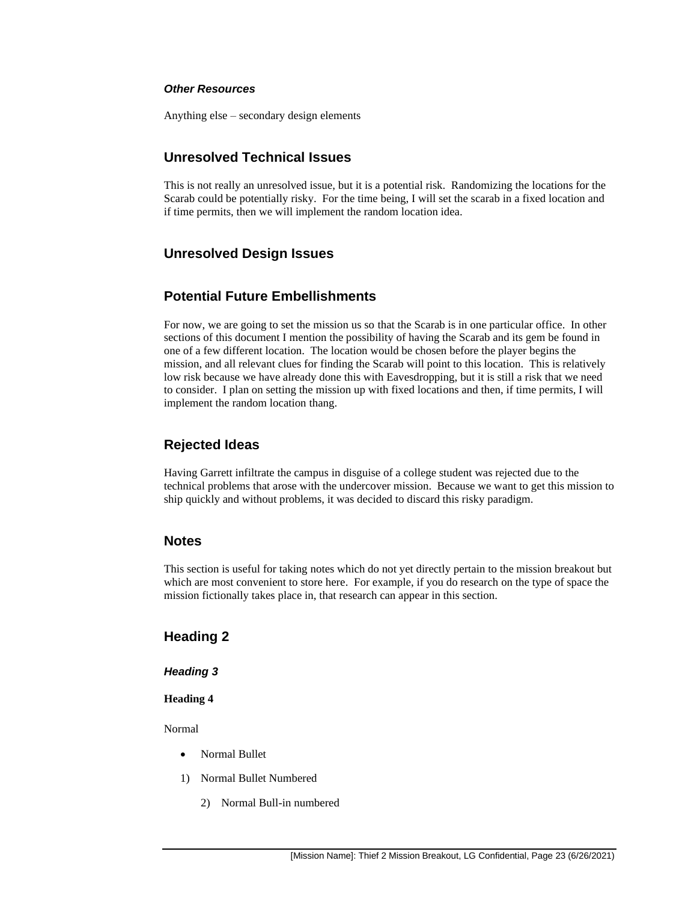#### *Other Resources*

Anything else – secondary design elements

#### **Unresolved Technical Issues**

This is not really an unresolved issue, but it is a potential risk. Randomizing the locations for the Scarab could be potentially risky. For the time being, I will set the scarab in a fixed location and if time permits, then we will implement the random location idea.

#### **Unresolved Design Issues**

### **Potential Future Embellishments**

For now, we are going to set the mission us so that the Scarab is in one particular office. In other sections of this document I mention the possibility of having the Scarab and its gem be found in one of a few different location. The location would be chosen before the player begins the mission, and all relevant clues for finding the Scarab will point to this location. This is relatively low risk because we have already done this with Eavesdropping, but it is still a risk that we need to consider. I plan on setting the mission up with fixed locations and then, if time permits, I will implement the random location thang.

#### **Rejected Ideas**

Having Garrett infiltrate the campus in disguise of a college student was rejected due to the technical problems that arose with the undercover mission. Because we want to get this mission to ship quickly and without problems, it was decided to discard this risky paradigm.

#### **Notes**

This section is useful for taking notes which do not yet directly pertain to the mission breakout but which are most convenient to store here. For example, if you do research on the type of space the mission fictionally takes place in, that research can appear in this section.

#### **Heading 2**

*Heading 3*

#### **Heading 4**

Normal

- Normal Bullet
- 1) Normal Bullet Numbered
	- 2) Normal Bull-in numbered